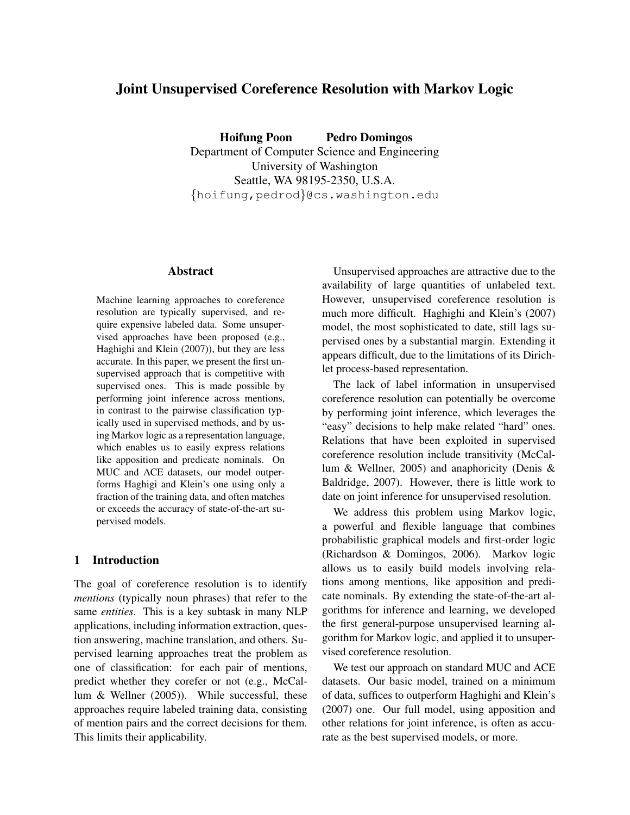# Joint Unsupervised Coreference Resolution with Markov Logic

Hoifung Poon Pedro Domingos Department of Computer Science and Engineering University of Washington Seattle, WA 98195-2350, U.S.A. {hoifung,pedrod}@cs.washington.edu

#### Abstract

Machine learning approaches to coreference resolution are typically supervised, and require expensive labeled data. Some unsupervised approaches have been proposed (e.g., Haghighi and Klein (2007)), but they are less accurate. In this paper, we present the first unsupervised approach that is competitive with supervised ones. This is made possible by performing joint inference across mentions, in contrast to the pairwise classification typically used in supervised methods, and by using Markov logic as a representation language, which enables us to easily express relations like apposition and predicate nominals. On MUC and ACE datasets, our model outperforms Haghigi and Klein's one using only a fraction of the training data, and often matches or exceeds the accuracy of state-of-the-art supervised models.

# 1 Introduction

The goal of coreference resolution is to identify *mentions* (typically noun phrases) that refer to the same *entities*. This is a key subtask in many NLP applications, including information extraction, question answering, machine translation, and others. Supervised learning approaches treat the problem as one of classification: for each pair of mentions, predict whether they corefer or not (e.g., McCallum & Wellner (2005)). While successful, these approaches require labeled training data, consisting of mention pairs and the correct decisions for them. This limits their applicability.

Unsupervised approaches are attractive due to the availability of large quantities of unlabeled text. However, unsupervised coreference resolution is much more difficult. Haghighi and Klein's (2007) model, the most sophisticated to date, still lags supervised ones by a substantial margin. Extending it appears difficult, due to the limitations of its Dirichlet process-based representation.

The lack of label information in unsupervised coreference resolution can potentially be overcome by performing joint inference, which leverages the "easy" decisions to help make related "hard" ones. Relations that have been exploited in supervised coreference resolution include transitivity (McCallum & Wellner, 2005) and anaphoricity (Denis & Baldridge, 2007). However, there is little work to date on joint inference for unsupervised resolution.

We address this problem using Markov logic, a powerful and flexible language that combines probabilistic graphical models and first-order logic (Richardson & Domingos, 2006). Markov logic allows us to easily build models involving relations among mentions, like apposition and predicate nominals. By extending the state-of-the-art algorithms for inference and learning, we developed the first general-purpose unsupervised learning algorithm for Markov logic, and applied it to unsupervised coreference resolution.

We test our approach on standard MUC and ACE datasets. Our basic model, trained on a minimum of data, suffices to outperform Haghighi and Klein's (2007) one. Our full model, using apposition and other relations for joint inference, is often as accurate as the best supervised models, or more.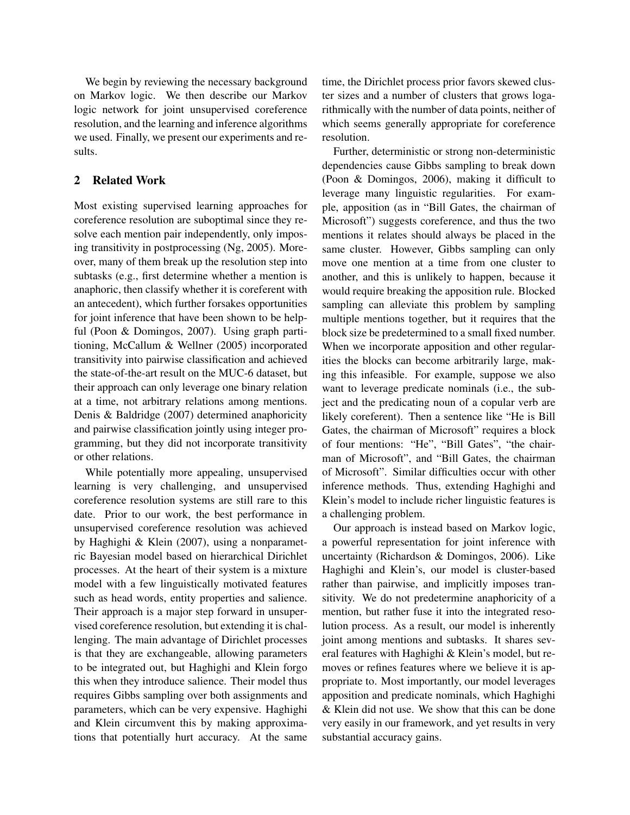We begin by reviewing the necessary background on Markov logic. We then describe our Markov logic network for joint unsupervised coreference resolution, and the learning and inference algorithms we used. Finally, we present our experiments and results.

# 2 Related Work

Most existing supervised learning approaches for coreference resolution are suboptimal since they resolve each mention pair independently, only imposing transitivity in postprocessing (Ng, 2005). Moreover, many of them break up the resolution step into subtasks (e.g., first determine whether a mention is anaphoric, then classify whether it is coreferent with an antecedent), which further forsakes opportunities for joint inference that have been shown to be helpful (Poon & Domingos, 2007). Using graph partitioning, McCallum & Wellner (2005) incorporated transitivity into pairwise classification and achieved the state-of-the-art result on the MUC-6 dataset, but their approach can only leverage one binary relation at a time, not arbitrary relations among mentions. Denis & Baldridge (2007) determined anaphoricity and pairwise classification jointly using integer programming, but they did not incorporate transitivity or other relations.

While potentially more appealing, unsupervised learning is very challenging, and unsupervised coreference resolution systems are still rare to this date. Prior to our work, the best performance in unsupervised coreference resolution was achieved by Haghighi & Klein (2007), using a nonparametric Bayesian model based on hierarchical Dirichlet processes. At the heart of their system is a mixture model with a few linguistically motivated features such as head words, entity properties and salience. Their approach is a major step forward in unsupervised coreference resolution, but extending it is challenging. The main advantage of Dirichlet processes is that they are exchangeable, allowing parameters to be integrated out, but Haghighi and Klein forgo this when they introduce salience. Their model thus requires Gibbs sampling over both assignments and parameters, which can be very expensive. Haghighi and Klein circumvent this by making approximations that potentially hurt accuracy. At the same time, the Dirichlet process prior favors skewed cluster sizes and a number of clusters that grows logarithmically with the number of data points, neither of which seems generally appropriate for coreference resolution.

Further, deterministic or strong non-deterministic dependencies cause Gibbs sampling to break down (Poon & Domingos, 2006), making it difficult to leverage many linguistic regularities. For example, apposition (as in "Bill Gates, the chairman of Microsoft") suggests coreference, and thus the two mentions it relates should always be placed in the same cluster. However, Gibbs sampling can only move one mention at a time from one cluster to another, and this is unlikely to happen, because it would require breaking the apposition rule. Blocked sampling can alleviate this problem by sampling multiple mentions together, but it requires that the block size be predetermined to a small fixed number. When we incorporate apposition and other regularities the blocks can become arbitrarily large, making this infeasible. For example, suppose we also want to leverage predicate nominals (i.e., the subject and the predicating noun of a copular verb are likely coreferent). Then a sentence like "He is Bill Gates, the chairman of Microsoft" requires a block of four mentions: "He", "Bill Gates", "the chairman of Microsoft", and "Bill Gates, the chairman of Microsoft". Similar difficulties occur with other inference methods. Thus, extending Haghighi and Klein's model to include richer linguistic features is a challenging problem.

Our approach is instead based on Markov logic, a powerful representation for joint inference with uncertainty (Richardson & Domingos, 2006). Like Haghighi and Klein's, our model is cluster-based rather than pairwise, and implicitly imposes transitivity. We do not predetermine anaphoricity of a mention, but rather fuse it into the integrated resolution process. As a result, our model is inherently joint among mentions and subtasks. It shares several features with Haghighi & Klein's model, but removes or refines features where we believe it is appropriate to. Most importantly, our model leverages apposition and predicate nominals, which Haghighi & Klein did not use. We show that this can be done very easily in our framework, and yet results in very substantial accuracy gains.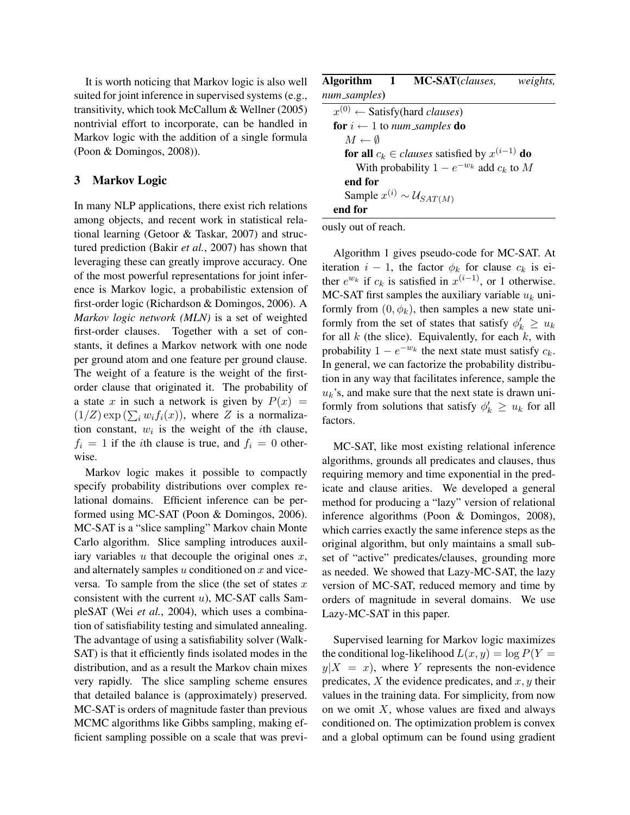It is worth noticing that Markov logic is also well suited for joint inference in supervised systems (e.g., transitivity, which took McCallum & Wellner (2005) nontrivial effort to incorporate, can be handled in Markov logic with the addition of a single formula (Poon & Domingos, 2008)).

### 3 Markov Logic

In many NLP applications, there exist rich relations among objects, and recent work in statistical relational learning (Getoor & Taskar, 2007) and structured prediction (Bakir *et al.*, 2007) has shown that leveraging these can greatly improve accuracy. One of the most powerful representations for joint inference is Markov logic, a probabilistic extension of first-order logic (Richardson & Domingos, 2006). A *Markov logic network (MLN)* is a set of weighted first-order clauses. Together with a set of constants, it defines a Markov network with one node per ground atom and one feature per ground clause. The weight of a feature is the weight of the firstorder clause that originated it. The probability of a state x in such a network is given by  $P(x) =$  $(1/Z) \exp(\sum_i w_i f_i(x))$ , where Z is a normalization constant,  $w_i$  is the weight of the *i*th clause,  $f_i = 1$  if the *i*th clause is true, and  $f_i = 0$  otherwise.

Markov logic makes it possible to compactly specify probability distributions over complex relational domains. Efficient inference can be performed using MC-SAT (Poon & Domingos, 2006). MC-SAT is a "slice sampling" Markov chain Monte Carlo algorithm. Slice sampling introduces auxiliary variables  $u$  that decouple the original ones  $x$ , and alternately samples  $u$  conditioned on  $x$  and viceversa. To sample from the slice (the set of states  $x$ consistent with the current  $u$ ), MC-SAT calls SampleSAT (Wei *et al.*, 2004), which uses a combination of satisfiability testing and simulated annealing. The advantage of using a satisfiability solver (Walk-SAT) is that it efficiently finds isolated modes in the distribution, and as a result the Markov chain mixes very rapidly. The slice sampling scheme ensures that detailed balance is (approximately) preserved. MC-SAT is orders of magnitude faster than previous MCMC algorithms like Gibbs sampling, making efficient sampling possible on a scale that was previ-

|                          | Algorithm 1 MC-SAT(clauses,                                         | <i>weights,</i> |
|--------------------------|---------------------------------------------------------------------|-----------------|
| num_samples)             |                                                                     |                 |
|                          | $x^{(0)} \leftarrow$ Satisfy(hard <i>clauses</i> )                  |                 |
|                          | <b>for</b> $i \leftarrow 1$ to num_samples <b>do</b>                |                 |
| $M \leftarrow \emptyset$ |                                                                     |                 |
|                          | <b>for all</b> $c_k \in clauses$ satisfied by $x^{(i-1)}$ <b>do</b> |                 |
|                          | With probability $1 - e^{-w_k}$ add $c_k$ to M                      |                 |
| end for                  |                                                                     |                 |
|                          | Sample $x^{(i)} \sim \mathcal{U}_{SAT(M)}$                          |                 |
| end for                  |                                                                     |                 |

ously out of reach.

Algorithm 1 gives pseudo-code for MC-SAT. At iteration  $i - 1$ , the factor  $\phi_k$  for clause  $c_k$  is either  $e^{w_k}$  if  $c_k$  is satisfied in  $x^{(i-1)}$ , or 1 otherwise. MC-SAT first samples the auxiliary variable  $u_k$  uniformly from  $(0, \phi_k)$ , then samples a new state uniformly from the set of states that satisfy  $\phi'_k \geq u_k$ for all  $k$  (the slice). Equivalently, for each  $k$ , with probability  $1 - e^{-w_k}$  the next state must satisfy  $c_k$ . In general, we can factorize the probability distribution in any way that facilitates inference, sample the  $u_k$ 's, and make sure that the next state is drawn uniformly from solutions that satisfy  $\phi'_k \geq u_k$  for all factors.

MC-SAT, like most existing relational inference algorithms, grounds all predicates and clauses, thus requiring memory and time exponential in the predicate and clause arities. We developed a general method for producing a "lazy" version of relational inference algorithms (Poon & Domingos, 2008), which carries exactly the same inference steps as the original algorithm, but only maintains a small subset of "active" predicates/clauses, grounding more as needed. We showed that Lazy-MC-SAT, the lazy version of MC-SAT, reduced memory and time by orders of magnitude in several domains. We use Lazy-MC-SAT in this paper.

Supervised learning for Markov logic maximizes the conditional log-likelihood  $L(x, y) = \log P(Y =$  $y|X = x$ , where Y represents the non-evidence predicates, X the evidence predicates, and  $x, y$  their values in the training data. For simplicity, from now on we omit  $X$ , whose values are fixed and always conditioned on. The optimization problem is convex and a global optimum can be found using gradient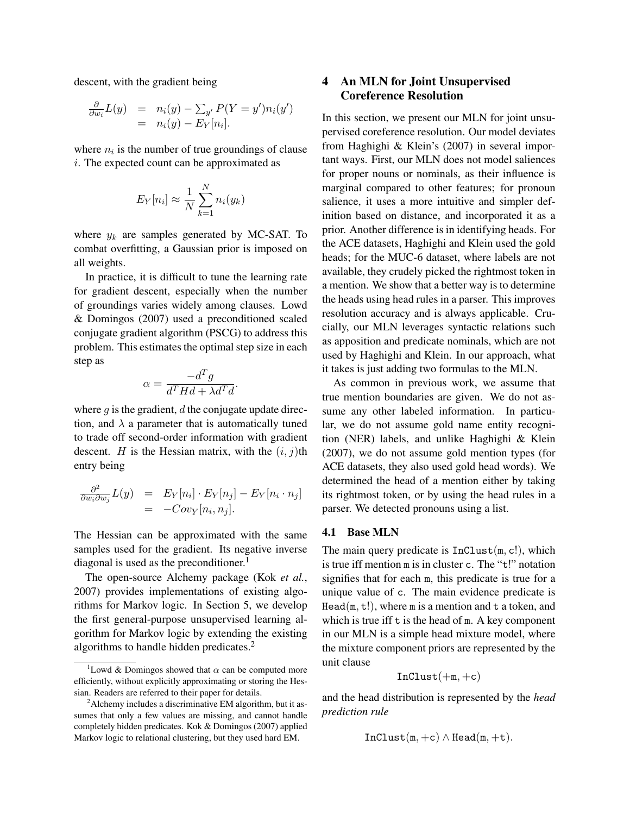descent, with the gradient being

$$
\frac{\partial}{\partial w_i} L(y) = n_i(y) - \sum_{y'} P(Y = y') n_i(y') \n= n_i(y) - E_Y[n_i].
$$

where  $n_i$  is the number of true groundings of clause i. The expected count can be approximated as

$$
E_Y[n_i] \approx \frac{1}{N} \sum_{k=1}^{N} n_i(y_k)
$$

where  $y_k$  are samples generated by MC-SAT. To combat overfitting, a Gaussian prior is imposed on all weights.

In practice, it is difficult to tune the learning rate for gradient descent, especially when the number of groundings varies widely among clauses. Lowd & Domingos (2007) used a preconditioned scaled conjugate gradient algorithm (PSCG) to address this problem. This estimates the optimal step size in each step as

$$
\alpha = \frac{-d^T g}{d^T H d + \lambda d^T d}.
$$

where  $q$  is the gradient,  $d$  the conjugate update direction, and  $\lambda$  a parameter that is automatically tuned to trade off second-order information with gradient descent. H is the Hessian matrix, with the  $(i, j)$ th entry being

$$
\frac{\partial^2}{\partial w_i \partial w_j} L(y) = E_Y[n_i] \cdot E_Y[n_j] - E_Y[n_i \cdot n_j]
$$
  
= -Cov<sub>Y</sub>[n<sub>i</sub>, n<sub>j</sub>].

The Hessian can be approximated with the same samples used for the gradient. Its negative inverse diagonal is used as the preconditioner.<sup>1</sup>

The open-source Alchemy package (Kok *et al.*, 2007) provides implementations of existing algorithms for Markov logic. In Section 5, we develop the first general-purpose unsupervised learning algorithm for Markov logic by extending the existing algorithms to handle hidden predicates.<sup>2</sup>

# 4 An MLN for Joint Unsupervised Coreference Resolution

In this section, we present our MLN for joint unsupervised coreference resolution. Our model deviates from Haghighi & Klein's (2007) in several important ways. First, our MLN does not model saliences for proper nouns or nominals, as their influence is marginal compared to other features; for pronoun salience, it uses a more intuitive and simpler definition based on distance, and incorporated it as a prior. Another difference is in identifying heads. For the ACE datasets, Haghighi and Klein used the gold heads; for the MUC-6 dataset, where labels are not available, they crudely picked the rightmost token in a mention. We show that a better way is to determine the heads using head rules in a parser. This improves resolution accuracy and is always applicable. Crucially, our MLN leverages syntactic relations such as apposition and predicate nominals, which are not used by Haghighi and Klein. In our approach, what it takes is just adding two formulas to the MLN.

As common in previous work, we assume that true mention boundaries are given. We do not assume any other labeled information. In particular, we do not assume gold name entity recognition (NER) labels, and unlike Haghighi & Klein (2007), we do not assume gold mention types (for ACE datasets, they also used gold head words). We determined the head of a mention either by taking its rightmost token, or by using the head rules in a parser. We detected pronouns using a list.

### 4.1 Base MLN

The main query predicate is  $InClust(m, c!)$ , which is true iff mention m is in cluster c. The "t!" notation signifies that for each m, this predicate is true for a unique value of c. The main evidence predicate is Head( $m$ ,  $t$ !), where  $m$  is a mention and  $t$  a token, and which is true iff  $t$  is the head of  $m$ . A key component in our MLN is a simple head mixture model, where the mixture component priors are represented by the unit clause

$$
\mathtt{InClust}(+m,+c)
$$

and the head distribution is represented by the *head prediction rule*

$$
InClust(m, +c) \wedge Head(m, +t).
$$

<sup>&</sup>lt;sup>1</sup>Lowd & Domingos showed that  $\alpha$  can be computed more efficiently, without explicitly approximating or storing the Hessian. Readers are referred to their paper for details.

<sup>2</sup>Alchemy includes a discriminative EM algorithm, but it assumes that only a few values are missing, and cannot handle completely hidden predicates. Kok & Domingos (2007) applied Markov logic to relational clustering, but they used hard EM.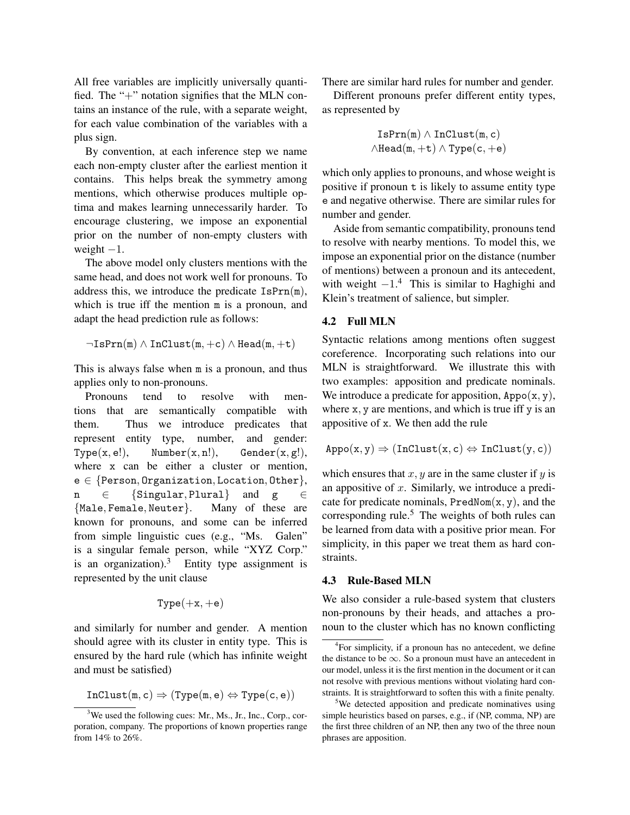All free variables are implicitly universally quantified. The "+" notation signifies that the MLN contains an instance of the rule, with a separate weight, for each value combination of the variables with a plus sign.

By convention, at each inference step we name each non-empty cluster after the earliest mention it contains. This helps break the symmetry among mentions, which otherwise produces multiple optima and makes learning unnecessarily harder. To encourage clustering, we impose an exponential prior on the number of non-empty clusters with weight  $-1$ .

The above model only clusters mentions with the same head, and does not work well for pronouns. To address this, we introduce the predicate  $\text{IsPrn}(m)$ , which is true iff the mention m is a pronoun, and adapt the head prediction rule as follows:

$$
\neg \mathtt{IsPrn}(m) \wedge \mathtt{InClust}(m, +c) \wedge \mathtt{Head}(m, +t)
$$

This is always false when m is a pronoun, and thus applies only to non-pronouns.

Pronouns tend to resolve with mentions that are semantically compatible with them. Thus we introduce predicates that represent entity type, number, and gender:  $Type(x, e!),$  Number $(x, n!),$  Gender $(x, g!),$ where x can be either a cluster or mention,  $e \in \{Person, Organization,Location,Other\},$ n ∈ {Singular, Plural} and g ∈ {Male, Female, Neuter}. Many of these are known for pronouns, and some can be inferred from simple linguistic cues (e.g., "Ms. Galen" is a singular female person, while "XYZ Corp." is an organization).<sup>3</sup> Entity type assignment is represented by the unit clause

$$
\mathtt{Type}(+x,+e)
$$

and similarly for number and gender. A mention should agree with its cluster in entity type. This is ensured by the hard rule (which has infinite weight and must be satisfied)

$$
\mathtt{InClust}(m,c)\Rightarrow(\mathtt{Type}(m,e)\Leftrightarrow\mathtt{Type}(c,e))
$$

There are similar hard rules for number and gender.

Different pronouns prefer different entity types, as represented by

$$
IsPrn(m) \wedge InClust(m, c)
$$
  

$$
\wedge Head(m, +t) \wedge Type(c, +e)
$$

which only applies to pronouns, and whose weight is positive if pronoun t is likely to assume entity type e and negative otherwise. There are similar rules for number and gender.

Aside from semantic compatibility, pronouns tend to resolve with nearby mentions. To model this, we impose an exponential prior on the distance (number of mentions) between a pronoun and its antecedent, with weight  $-1$ .<sup>4</sup> This is similar to Haghighi and Klein's treatment of salience, but simpler.

## 4.2 Full MLN

Syntactic relations among mentions often suggest coreference. Incorporating such relations into our MLN is straightforward. We illustrate this with two examples: apposition and predicate nominals. We introduce a predicate for apposition,  $\text{Appo}(x, y)$ , where x, y are mentions, and which is true iff y is an appositive of x. We then add the rule

$$
\mathtt{Appo}(x,y) \Rightarrow (\mathtt{InClust}(x,c) \Leftrightarrow \mathtt{InClust}(y,c))
$$

which ensures that  $x, y$  are in the same cluster if  $y$  is an appositive of  $x$ . Similarly, we introduce a predicate for predicate nominals,  $PredNom(x, y)$ , and the corresponding rule.<sup>5</sup> The weights of both rules can be learned from data with a positive prior mean. For simplicity, in this paper we treat them as hard constraints.

### 4.3 Rule-Based MLN

We also consider a rule-based system that clusters non-pronouns by their heads, and attaches a pronoun to the cluster which has no known conflicting

<sup>&</sup>lt;sup>3</sup>We used the following cues: Mr., Ms., Jr., Inc., Corp., corporation, company. The proportions of known properties range from 14% to 26%.

<sup>&</sup>lt;sup>4</sup>For simplicity, if a pronoun has no antecedent, we define the distance to be  $\infty$ . So a pronoun must have an antecedent in our model, unless it is the first mention in the document or it can not resolve with previous mentions without violating hard constraints. It is straightforward to soften this with a finite penalty.

<sup>&</sup>lt;sup>5</sup>We detected apposition and predicate nominatives using simple heuristics based on parses, e.g., if (NP, comma, NP) are the first three children of an NP, then any two of the three noun phrases are apposition.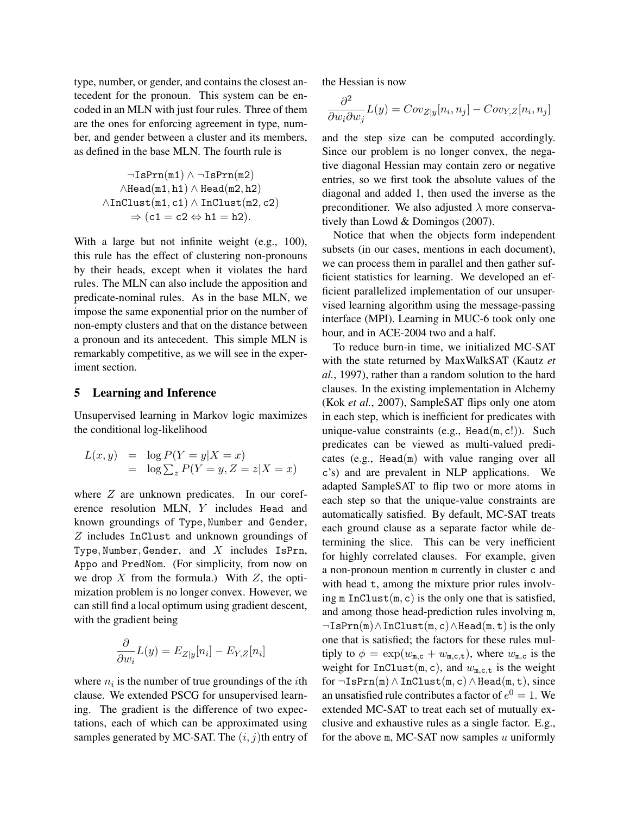type, number, or gender, and contains the closest antecedent for the pronoun. This system can be encoded in an MLN with just four rules. Three of them are the ones for enforcing agreement in type, number, and gender between a cluster and its members, as defined in the base MLN. The fourth rule is

$$
\neg \text{IsPrn(m1)} \land \neg \text{IsPrn(m2)}\land \text{Head}(m1, h1) \land \text{Head}(m2, h2)\land \text{InClust}(m1, c1) \land \text{InClust}(m2, c2)\Rightarrow (c1 = c2 \Leftrightarrow h1 = h2).
$$

With a large but not infinite weight (e.g., 100), this rule has the effect of clustering non-pronouns by their heads, except when it violates the hard rules. The MLN can also include the apposition and predicate-nominal rules. As in the base MLN, we impose the same exponential prior on the number of non-empty clusters and that on the distance between a pronoun and its antecedent. This simple MLN is remarkably competitive, as we will see in the experiment section.

#### 5 Learning and Inference

Unsupervised learning in Markov logic maximizes the conditional log-likelihood

$$
L(x, y) = \log P(Y = y | X = x)
$$
  
=  $\log \sum_{z} P(Y = y, Z = z | X = x)$ 

where  $Z$  are unknown predicates. In our coreference resolution MLN, Y includes Head and known groundings of Type, Number and Gender, Z includes InClust and unknown groundings of Type, Number, Gender, and  $X$  includes IsPrn, Appo and PredNom. (For simplicity, from now on we drop  $X$  from the formula.) With  $Z$ , the optimization problem is no longer convex. However, we can still find a local optimum using gradient descent, with the gradient being

$$
\frac{\partial}{\partial w_i}L(y) = E_{Z|y}[n_i] - E_{Y,Z}[n_i]
$$

where  $n_i$  is the number of true groundings of the *i*th clause. We extended PSCG for unsupervised learning. The gradient is the difference of two expectations, each of which can be approximated using samples generated by MC-SAT. The  $(i, j)$ th entry of the Hessian is now

$$
\frac{\partial^2}{\partial w_i \partial w_j} L(y) = Cov_{Z|y}[n_i, n_j] - Cov_{Y,Z}[n_i, n_j]
$$

and the step size can be computed accordingly. Since our problem is no longer convex, the negative diagonal Hessian may contain zero or negative entries, so we first took the absolute values of the diagonal and added 1, then used the inverse as the preconditioner. We also adjusted  $\lambda$  more conservatively than Lowd & Domingos (2007).

Notice that when the objects form independent subsets (in our cases, mentions in each document), we can process them in parallel and then gather sufficient statistics for learning. We developed an efficient parallelized implementation of our unsupervised learning algorithm using the message-passing interface (MPI). Learning in MUC-6 took only one hour, and in ACE-2004 two and a half.

To reduce burn-in time, we initialized MC-SAT with the state returned by MaxWalkSAT (Kautz *et al.*, 1997), rather than a random solution to the hard clauses. In the existing implementation in Alchemy (Kok *et al.*, 2007), SampleSAT flips only one atom in each step, which is inefficient for predicates with unique-value constraints (e.g.,  $Head(m, c!)$ ). Such predicates can be viewed as multi-valued predicates (e.g., Head(m) with value ranging over all c's) and are prevalent in NLP applications. We adapted SampleSAT to flip two or more atoms in each step so that the unique-value constraints are automatically satisfied. By default, MC-SAT treats each ground clause as a separate factor while determining the slice. This can be very inefficient for highly correlated clauses. For example, given a non-pronoun mention m currently in cluster c and with head t, among the mixture prior rules involving  $m$  InClust $(m, c)$  is the only one that is satisfied, and among those head-prediction rules involving m, ¬IsPrn(m)∧InClust(m, c)∧Head(m, t) is the only one that is satisfied; the factors for these rules multiply to  $\phi = \exp(w_{\text{m,c}} + w_{\text{m,c,t}})$ , where  $w_{\text{m,c}}$  is the weight for  $InClust(m, c)$ , and  $w_{m, c, t}$  is the weight for  $\neg \texttt{IsPrn}(m) \land \texttt{InClust}(m, c) \land \texttt{Head}(m, t)$ , since an unsatisfied rule contributes a factor of  $e^0 = 1$ . We extended MC-SAT to treat each set of mutually exclusive and exhaustive rules as a single factor. E.g., for the above  $m$ , MC-SAT now samples  $u$  uniformly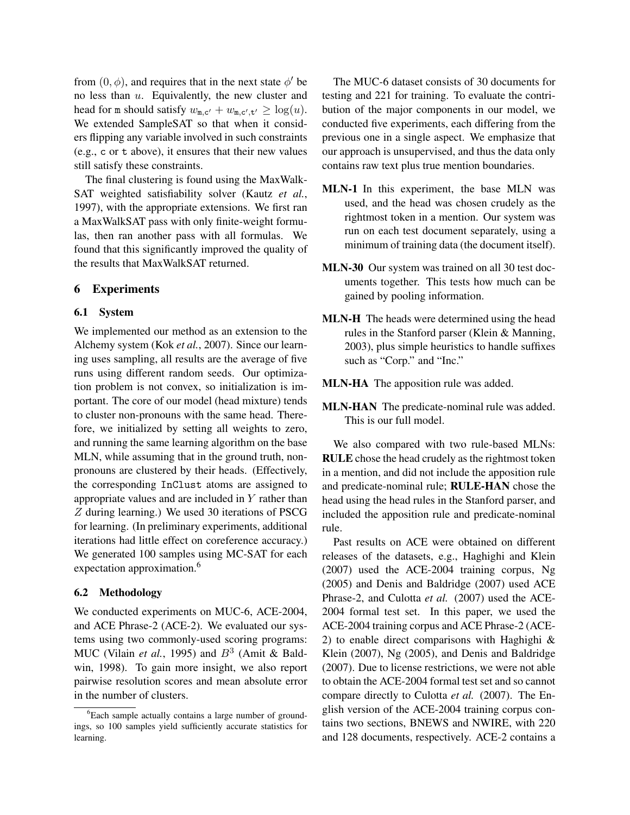from  $(0, \phi)$ , and requires that in the next state  $\phi'$  be no less than u. Equivalently, the new cluster and head for m should satisfy  $w_{m,c'} + w_{m,c',t'} \ge \log(u)$ . We extended SampleSAT so that when it considers flipping any variable involved in such constraints (e.g., c or t above), it ensures that their new values still satisfy these constraints.

The final clustering is found using the MaxWalk-SAT weighted satisfiability solver (Kautz *et al.*, 1997), with the appropriate extensions. We first ran a MaxWalkSAT pass with only finite-weight formulas, then ran another pass with all formulas. We found that this significantly improved the quality of the results that MaxWalkSAT returned.

#### 6 Experiments

#### 6.1 System

We implemented our method as an extension to the Alchemy system (Kok *et al.*, 2007). Since our learning uses sampling, all results are the average of five runs using different random seeds. Our optimization problem is not convex, so initialization is important. The core of our model (head mixture) tends to cluster non-pronouns with the same head. Therefore, we initialized by setting all weights to zero, and running the same learning algorithm on the base MLN, while assuming that in the ground truth, nonpronouns are clustered by their heads. (Effectively, the corresponding InClust atoms are assigned to appropriate values and are included in Y rather than Z during learning.) We used 30 iterations of PSCG for learning. (In preliminary experiments, additional iterations had little effect on coreference accuracy.) We generated 100 samples using MC-SAT for each expectation approximation.<sup>6</sup>

### 6.2 Methodology

We conducted experiments on MUC-6, ACE-2004, and ACE Phrase-2 (ACE-2). We evaluated our systems using two commonly-used scoring programs: MUC (Vilain *et al.*, 1995) and  $B^3$  (Amit & Baldwin, 1998). To gain more insight, we also report pairwise resolution scores and mean absolute error in the number of clusters.

The MUC-6 dataset consists of 30 documents for testing and 221 for training. To evaluate the contribution of the major components in our model, we conducted five experiments, each differing from the previous one in a single aspect. We emphasize that our approach is unsupervised, and thus the data only contains raw text plus true mention boundaries.

- MLN-1 In this experiment, the base MLN was used, and the head was chosen crudely as the rightmost token in a mention. Our system was run on each test document separately, using a minimum of training data (the document itself).
- MLN-30 Our system was trained on all 30 test documents together. This tests how much can be gained by pooling information.
- MLN-H The heads were determined using the head rules in the Stanford parser (Klein & Manning, 2003), plus simple heuristics to handle suffixes such as "Corp." and "Inc."
- MLN-HA The apposition rule was added.
- MLN-HAN The predicate-nominal rule was added. This is our full model.

We also compared with two rule-based MLNs: RULE chose the head crudely as the rightmost token in a mention, and did not include the apposition rule and predicate-nominal rule; RULE-HAN chose the head using the head rules in the Stanford parser, and included the apposition rule and predicate-nominal rule.

Past results on ACE were obtained on different releases of the datasets, e.g., Haghighi and Klein (2007) used the ACE-2004 training corpus, Ng (2005) and Denis and Baldridge (2007) used ACE Phrase-2, and Culotta *et al.* (2007) used the ACE-2004 formal test set. In this paper, we used the ACE-2004 training corpus and ACE Phrase-2 (ACE-2) to enable direct comparisons with Haghighi & Klein (2007), Ng (2005), and Denis and Baldridge (2007). Due to license restrictions, we were not able to obtain the ACE-2004 formal test set and so cannot compare directly to Culotta *et al.* (2007). The English version of the ACE-2004 training corpus contains two sections, BNEWS and NWIRE, with 220 and 128 documents, respectively. ACE-2 contains a

<sup>&</sup>lt;sup>6</sup>Each sample actually contains a large number of groundings, so 100 samples yield sufficiently accurate statistics for learning.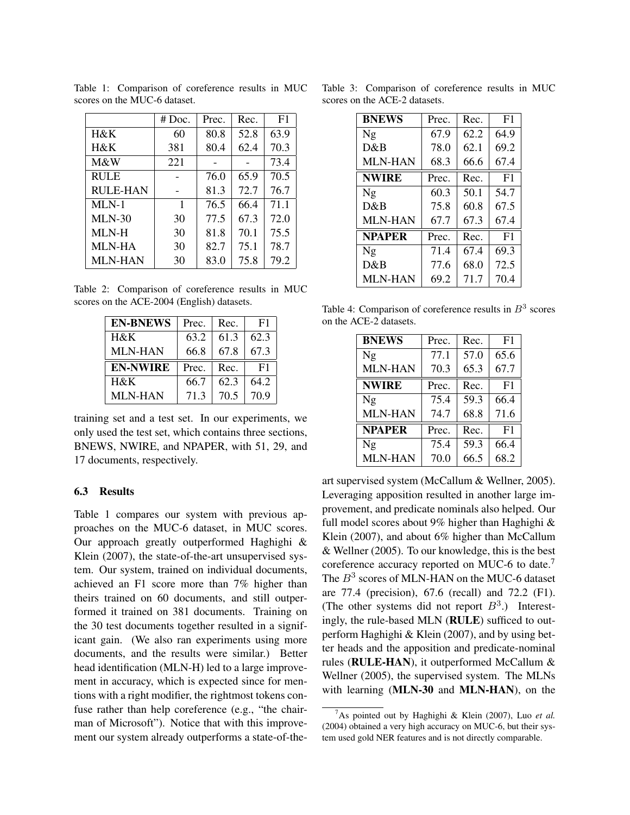|                 | $# \, Doc.$ | Prec. | Rec. | F <sub>1</sub> |
|-----------------|-------------|-------|------|----------------|
| H&K             | 60          | 80.8  | 52.8 | 63.9           |
| H&K             | 381         | 80.4  | 62.4 | 70.3           |
| M&W             | 221         |       |      | 73.4           |
| <b>RULE</b>     |             | 76.0  | 65.9 | 70.5           |
| <b>RULE-HAN</b> |             | 81.3  | 72.7 | 76.7           |
| $MLN-1$         | 1           | 76.5  | 66.4 | 71.1           |
| $MLN-30$        | 30          | 77.5  | 67.3 | 72.0           |
| MLN-H           | 30          | 81.8  | 70.1 | 75.5           |
| <b>MLN-HA</b>   | 30          | 82.7  | 75.1 | 78.7           |
| <b>MLN-HAN</b>  | 30          | 83.0  | 75.8 | 79.2           |

Table 1: Comparison of coreference results in MUC scores on the MUC-6 dataset.

Table 2: Comparison of coreference results in MUC scores on the ACE-2004 (English) datasets.

| <b>EN-BNEWS</b> | Prec. | Rec. | F1   |
|-----------------|-------|------|------|
| $H\&K$          | 63.2  | 61.3 | 62.3 |
| <b>MLN-HAN</b>  | 66.8  | 67.8 | 67.3 |
|                 |       |      |      |
| <b>EN-NWIRE</b> | Prec. | Rec. | F1   |
| H&K             | 66.7  | 62.3 | 64.2 |

training set and a test set. In our experiments, we only used the test set, which contains three sections, BNEWS, NWIRE, and NPAPER, with 51, 29, and 17 documents, respectively.

#### 6.3 Results

Table 1 compares our system with previous approaches on the MUC-6 dataset, in MUC scores. Our approach greatly outperformed Haghighi & Klein (2007), the state-of-the-art unsupervised system. Our system, trained on individual documents, achieved an F1 score more than 7% higher than theirs trained on 60 documents, and still outperformed it trained on 381 documents. Training on the 30 test documents together resulted in a significant gain. (We also ran experiments using more documents, and the results were similar.) Better head identification (MLN-H) led to a large improvement in accuracy, which is expected since for mentions with a right modifier, the rightmost tokens confuse rather than help coreference (e.g., "the chairman of Microsoft"). Notice that with this improvement our system already outperforms a state-of-the-

Table 3: Comparison of coreference results in MUC scores on the ACE-2 datasets.

| <b>BNEWS</b>   | Prec. | Rec. | F1             |
|----------------|-------|------|----------------|
| Ng             | 67.9  | 62.2 | 64.9           |
| D&B            | 78.0  | 62.1 | 69.2           |
| MLN-HAN        | 68.3  | 66.6 | 67.4           |
| <b>NWIRE</b>   | Prec. | Rec. | F <sub>1</sub> |
| Ng             | 60.3  | 50.1 | 54.7           |
| D&B            | 75.8  | 60.8 | 67.5           |
| <b>MLN-HAN</b> | 67.7  | 67.3 | 67.4           |
| <b>NPAPER</b>  | Prec. | Rec. | F1             |
| Ng             | 71.4  | 67.4 | 69.3           |
| D&B            | 77.6  | 68.0 | 72.5           |
| <b>MLN-HAN</b> | 69.2  | 71.7 | 70.4           |

Table 4: Comparison of coreference results in  $B<sup>3</sup>$  scores on the ACE-2 datasets.

| <b>BNEWS</b>   | Prec. | Rec. | F <sub>1</sub> |
|----------------|-------|------|----------------|
| Ng             | 77.1  | 57.0 | 65.6           |
| <b>MLN-HAN</b> | 70.3  | 65.3 | 67.7           |
| <b>NWIRE</b>   | Prec. | Rec. | F1             |
| Ng             | 75.4  | 59.3 | 66.4           |
| <b>MLN-HAN</b> | 74.7  | 68.8 | 71.6           |
| <b>NPAPER</b>  | Prec. | Rec. | F <sub>1</sub> |
| Ng             | 75.4  | 59.3 | 66.4           |
| <b>MLN-HAN</b> | 70.0  | 66.5 | 68.2           |

art supervised system (McCallum & Wellner, 2005). Leveraging apposition resulted in another large improvement, and predicate nominals also helped. Our full model scores about 9% higher than Haghighi & Klein (2007), and about 6% higher than McCallum & Wellner (2005). To our knowledge, this is the best coreference accuracy reported on MUC-6 to date.<sup>7</sup> The  $B^3$  scores of MLN-HAN on the MUC-6 dataset are 77.4 (precision), 67.6 (recall) and 72.2 (F1). (The other systems did not report  $B^3$ .) Interestingly, the rule-based MLN (RULE) sufficed to outperform Haghighi & Klein (2007), and by using better heads and the apposition and predicate-nominal rules (RULE-HAN), it outperformed McCallum & Wellner (2005), the supervised system. The MLNs with learning (MLN-30 and MLN-HAN), on the

<sup>7</sup>As pointed out by Haghighi & Klein (2007), Luo *et al.* (2004) obtained a very high accuracy on MUC-6, but their system used gold NER features and is not directly comparable.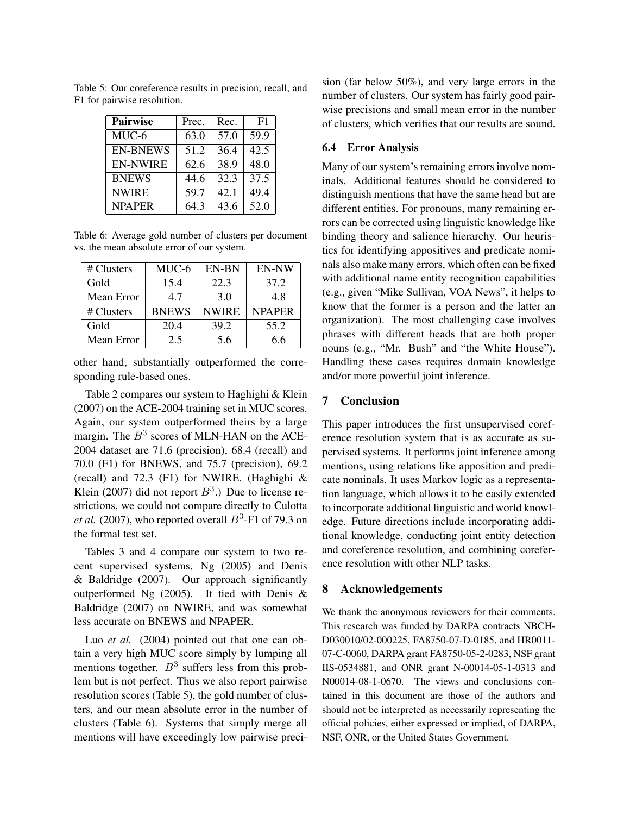| <b>Pairwise</b> | Prec. | Rec. | F1   |
|-----------------|-------|------|------|
| MUC-6           | 63.0  | 57.0 | 59.9 |
| <b>EN-BNEWS</b> | 51.2  | 36.4 | 42.5 |
| <b>EN-NWIRE</b> | 62.6  | 38.9 | 48.0 |
| <b>BNEWS</b>    | 44.6  | 32.3 | 37.5 |
| <b>NWIRE</b>    | 59.7  | 42.1 | 49.4 |
| <b>NPAPER</b>   | 643   | 43.6 | 52.0 |

Table 5: Our coreference results in precision, recall, and F1 for pairwise resolution.

Table 6: Average gold number of clusters per document vs. the mean absolute error of our system.

| # Clusters | MUC-6        | EN-BN        | <b>EN-NW</b>  |
|------------|--------------|--------------|---------------|
| Gold       | 15.4         | 22.3         | 37.2          |
| Mean Error | 4.7          | 3.0          | 4.8           |
| # Clusters | <b>BNEWS</b> | <b>NWIRE</b> | <b>NPAPER</b> |
| Gold       | 20.4         | 39.2         | 55.2          |
| Mean Error | 2.5          | 5.6          | 6.6           |

other hand, substantially outperformed the corresponding rule-based ones.

Table 2 compares our system to Haghighi & Klein (2007) on the ACE-2004 training set in MUC scores. Again, our system outperformed theirs by a large margin. The  $B<sup>3</sup>$  scores of MLN-HAN on the ACE-2004 dataset are 71.6 (precision), 68.4 (recall) and 70.0 (F1) for BNEWS, and 75.7 (precision), 69.2 (recall) and 72.3 (F1) for NWIRE. (Haghighi & Klein (2007) did not report  $B^3$ .) Due to license restrictions, we could not compare directly to Culotta *et al.* (2007), who reported overall  $B^3$ -F1 of 79.3 on the formal test set.

Tables 3 and 4 compare our system to two recent supervised systems, Ng (2005) and Denis & Baldridge (2007). Our approach significantly outperformed Ng (2005). It tied with Denis & Baldridge (2007) on NWIRE, and was somewhat less accurate on BNEWS and NPAPER.

Luo *et al.* (2004) pointed out that one can obtain a very high MUC score simply by lumping all mentions together.  $B<sup>3</sup>$  suffers less from this problem but is not perfect. Thus we also report pairwise resolution scores (Table 5), the gold number of clusters, and our mean absolute error in the number of clusters (Table 6). Systems that simply merge all mentions will have exceedingly low pairwise precision (far below 50%), and very large errors in the number of clusters. Our system has fairly good pairwise precisions and small mean error in the number of clusters, which verifies that our results are sound.

#### 6.4 Error Analysis

Many of our system's remaining errors involve nominals. Additional features should be considered to distinguish mentions that have the same head but are different entities. For pronouns, many remaining errors can be corrected using linguistic knowledge like binding theory and salience hierarchy. Our heuristics for identifying appositives and predicate nominals also make many errors, which often can be fixed with additional name entity recognition capabilities (e.g., given "Mike Sullivan, VOA News", it helps to know that the former is a person and the latter an organization). The most challenging case involves phrases with different heads that are both proper nouns (e.g., "Mr. Bush" and "the White House"). Handling these cases requires domain knowledge and/or more powerful joint inference.

## 7 Conclusion

This paper introduces the first unsupervised coreference resolution system that is as accurate as supervised systems. It performs joint inference among mentions, using relations like apposition and predicate nominals. It uses Markov logic as a representation language, which allows it to be easily extended to incorporate additional linguistic and world knowledge. Future directions include incorporating additional knowledge, conducting joint entity detection and coreference resolution, and combining coreference resolution with other NLP tasks.

#### 8 Acknowledgements

We thank the anonymous reviewers for their comments. This research was funded by DARPA contracts NBCH-D030010/02-000225, FA8750-07-D-0185, and HR0011- 07-C-0060, DARPA grant FA8750-05-2-0283, NSF grant IIS-0534881, and ONR grant N-00014-05-1-0313 and N00014-08-1-0670. The views and conclusions contained in this document are those of the authors and should not be interpreted as necessarily representing the official policies, either expressed or implied, of DARPA, NSF, ONR, or the United States Government.